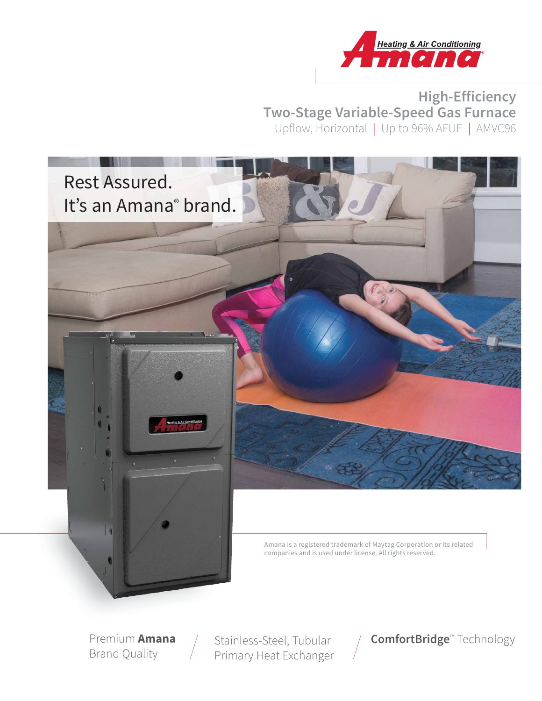

## **High-Efficiency Two-Stage Variable-Speed Gas Furnace** Upflow, Horizontal | Up to 96% AFUE | AMVC96



Premium **Amana** Brand Quality

Stainless-Steel, Tubular Primary Heat Exchanger

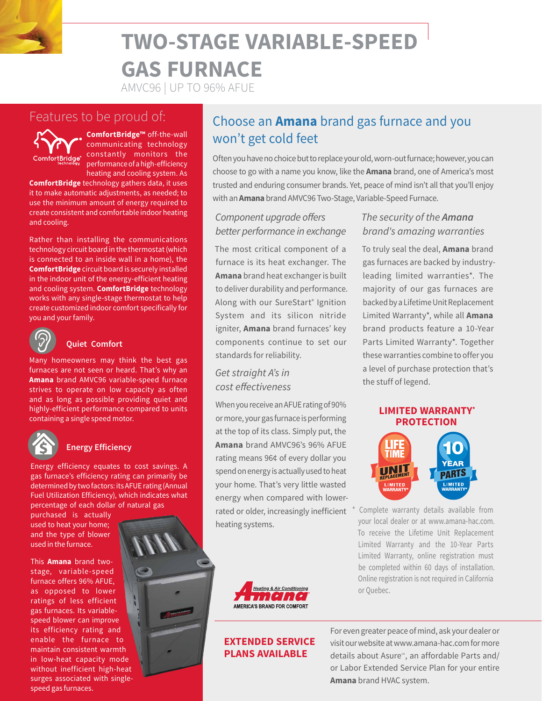## **TWO-STAGE VARIABLE-SPEED GAS FURNACE**

AMVC96 | UP TO 96% AFUE

## Features to be proud of:



**ComfortBridge™** off-the-wall communicating technology constantly monitors the performance of a high-efficiency heating and cooling system. As

**ComfortBridge** technology gathers data, it uses it to make automatic adjustments, as needed; to use the minimum amount of energy required to create consistent and comfortable indoor heating and cooling.

Rather than installing the communications technology circuit board in the thermostat (which is connected to an inside wall in a home), the **ComfortBridge** circuit board is securely installed in the indoor unit of the energy-efficient heating and cooling system. **ComfortBridge** technology works with any single-stage thermostat to help create customized indoor comfort specifically for you and your family.



#### **Quiet Comfort**

Many homeowners may think the best gas furnaces are not seen or heard. That's why an **Amana** brand AMVC96 variable-speed furnace strives to operate on low capacity as often and as long as possible providing quiet and highly-efficient performance compared to units containing a single speed motor.



#### **Energy Efficiency**

Energy efficiency equates to cost savings. A gas furnace's efficiency rating can primarily be determined by two factors: its AFUE rating (Annual Fuel Utilization Efficiency), which indicates what percentage of each dollar of natural gas

purchased is actually used to heat your home; and the type of blower used in the furnace.

This **Amana** brand twostage, variable-speed furnace offers 96% AFUE, as opposed to lower ratings of less efficient gas furnaces. Its variablespeed blower can improve its efficiency rating and enable the furnace to maintain consistent warmth in low-heat capacity mode without inefficient high-heat surges associated with singlespeed gas furnaces.

## Choose an **Amana** brand gas furnace and you won't get cold feet

Often you have no choice but to replace your old, worn-out furnace; however, you can choose to go with a name you know, like the **Amana** brand, one of America's most trusted and enduring consumer brands. Yet, peace of mind isn't all that you'll enjoy with an **Amana** brand AMVC96 Two-Stage, Variable-Speed Furnace.

#### Component upgrade offers better performance in exchange

The most critical component of a furnace is its heat exchanger. The **Amana** brand heat exchanger is built to deliver durability and performance. Along with our SureStart® Ignition System and its silicon nitride igniter, **Amana** brand furnaces' key components continue to set our standards for reliability.

#### Get straight A's in cost effectiveness

When you receive an AFUE rating of 90% or more, your gas furnace is performing at the top of its class. Simply put, the **Amana** brand AMVC96's 96% AFUE rating means 96¢ of every dollar you spend on energy is actually used to heat your home. That's very little wasted energy when compared with lowerrated or older, increasingly inefficient heating systems.



#### **EXTENDED SERVICE PLANS AVAILABLE**

The security of the **Amana** brand's amazing warranties

To truly seal the deal, **Amana** brand gas furnaces are backed by industryleading limited warranties\*. The majority of our gas furnaces are backed by a Lifetime Unit Replacement Limited Warranty\*, while all **Amana**  brand products feature a 10-Year Parts Limited Warranty\*. Together these warranties combine to offer you a level of purchase protection that's the stuff of legend.

#### **LIMITED WARRANTY\* PROTECTION**



Complete warranty details available from your local dealer or at www.amana-hac.com. To receive the Lifetime Unit Replacement Limited Warranty and the 10-Year Parts Limited Warranty, online registration must be completed within 60 days of installation. Online registration is not required in California or Quebec.

For even greater peace of mind, ask your dealer or visit our website at www.amana-hac.com for more details about Asure<sup>®</sup>, an affordable Parts and/ or Labor Extended Service Plan for your entire **Amana** brand HVAC system.

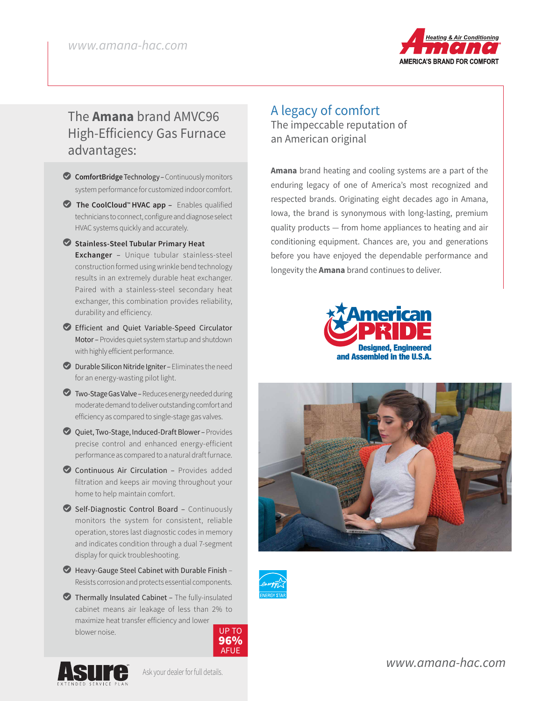

## The **Amana** brand AMVC96 High-Efficiency Gas Furnace advantages:

- L **ComfortBridge** Technology Continuously monitors system performance for customized indoor comfort.
- L **The CoolCloud™ HVAC app** Enables qualified technicians to connect, configure and diagnose select HVAC systems quickly and accurately.
- L**Stainless-Steel Tubular Primary Heat Exchanger** – Unique tubular stainless-steel construction formed using wrinkle bend technology results in an extremely durable heat exchanger. Paired with a stainless-steel secondary heat exchanger, this combination provides reliability, durability and efficiency.
- LEfficient and Quiet Variable-Speed Circulator Motor – Provides quiet system startup and shutdown with highly efficient performance.
- $\bullet$  Durable Silicon Nitride Igniter Eliminates the need for an energy-wasting pilot light.
- **Z** Two-Stage Gas Valve Reduces energy needed during moderate demand to deliver outstanding comfort and efficiency as compared to single-stage gas valves.
- L Quiet, Two-Stage, Induced-Draft Blower Provides precise control and enhanced energy-efficient performance as compared to a natural draft furnace.
- Continuous Air Circulation Provides added filtration and keeps air moving throughout your home to help maintain comfort.
- $\bullet$  Self-Diagnostic Control Board Continuously monitors the system for consistent, reliable operation, stores last diagnostic codes in memory and indicates condition through a dual 7-segment display for quick troubleshooting.
- LHeavy-Gauge Steel Cabinet with Durable Finish Resists corrosion and protects essential components.
- $\bullet$  Thermally Insulated Cabinet The fully-insulated cabinet means air leakage of less than 2% to maximize heat transfer efficiency and lower blower noise. UP TO UP TO





Ask your dealer for full details.

### A legacy of comfort The impeccable reputation of an American original

**Amana** brand heating and cooling systems are a part of the enduring legacy of one of America's most recognized and respected brands. Originating eight decades ago in Amana, Iowa, the brand is synonymous with long-lasting, premium quality products — from home appliances to heating and air conditioning equipment. Chances are, you and generations before you have enjoyed the dependable performance and longevity the **Amana** brand continues to deliver.